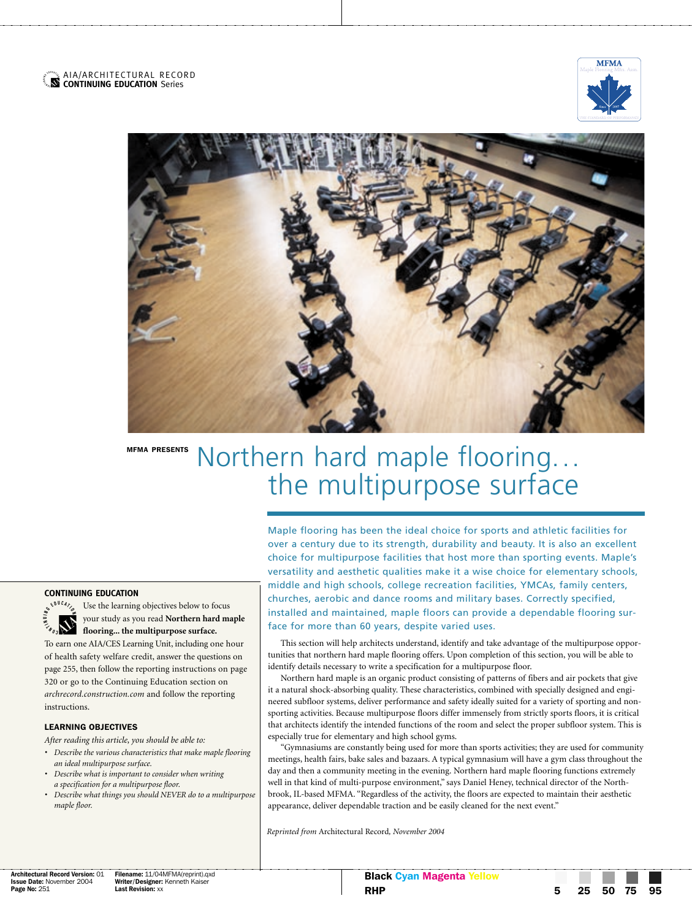



# MFMA PRESENTS Northern hard maple flooring... the multipurpose surface

# **CONTINUING EDUCATION**

 $\int e^{\zeta \delta \Psi \zeta}$  Use the learning objectives below to focus your study as you read **Northern hard maple**   $\mathbb{F}_{\epsilon_{\theta_0}}$   $\sum_{\text{flooring... the multipurpose surface.}}$ To earn one AIA/CES Learning Unit, including one hour of health safety welfare credit, answer the questions on page 255, then follow the reporting instructions on page 320 or go to the Continuing Education section on *archrecord.construction.com* and follow the reporting instructions.

# LEARNING OBJECTIVES

*After reading this article, you should be able to:*

- *• Describe the various characteristics that make maple flooring an ideal multipurpose surface.*
- *• Describe what is important to consider when writing a specification for a multipurpose floor.*
- *• Describe what things you should NEVER do to a multipurpose maple floor.*

Maple flooring has been the ideal choice for sports and athletic facilities for over a century due to its strength, durability and beauty. It is also an excellent choice for multipurpose facilities that host more than sporting events. Maple's versatility and aesthetic qualities make it a wise choice for elementary schools, middle and high schools, college recreation facilities, YMCAs, family centers, churches, aerobic and dance rooms and military bases. Correctly specified, installed and maintained, maple floors can provide a dependable flooring surface for more than 60 years, despite varied uses.

This section will help architects understand, identify and take advantage of the multipurpose opportunities that northern hard maple flooring offers. Upon completion of this section, you will be able to identify details necessary to write a specification for a multipurpose floor.

Northern hard maple is an organic product consisting of patterns of fibers and air pockets that give it a natural shock-absorbing quality. These characteristics, combined with specially designed and engineered subfloor systems, deliver performance and safety ideally suited for a variety of sporting and nonsporting activities. Because multipurpose floors differ immensely from strictly sports floors, it is critical that architects identify the intended functions of the room and select the proper subfloor system. This is especially true for elementary and high school gyms.

"Gymnasiums are constantly being used for more than sports activities; they are used for community meetings, health fairs, bake sales and bazaars. A typical gymnasium will have a gym class throughout the day and then a community meeting in the evening. Northern hard maple flooring functions extremely well in that kind of multi-purpose environment," says Daniel Heney, technical director of the Northbrook, IL-based MFMA. "Regardless of the activity, the floors are expected to maintain their aesthetic appearance, deliver dependable traction and be easily cleaned for the next event."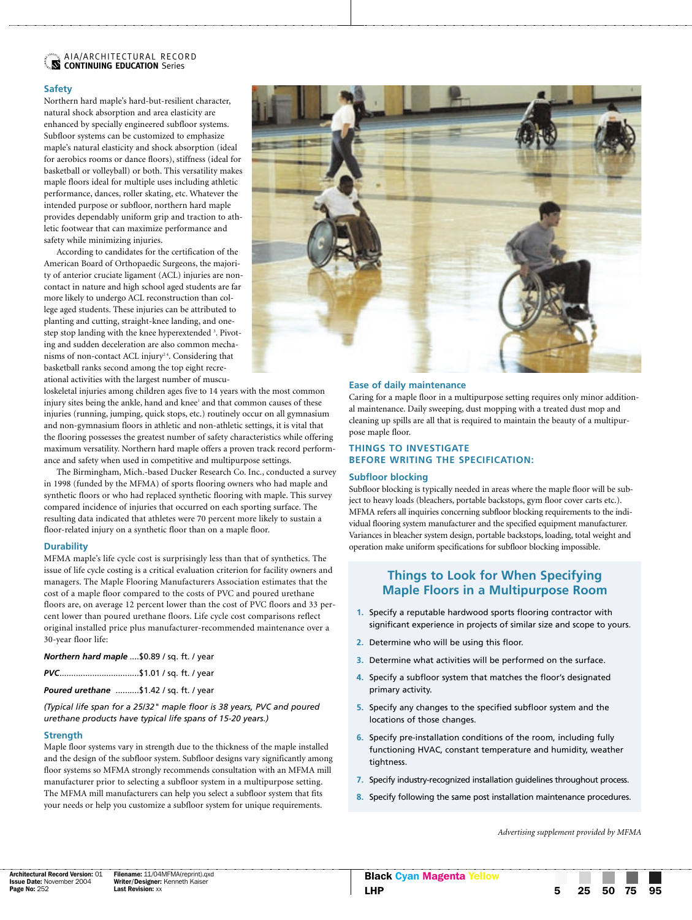# AIA/ARCHITECTURAL RECORD **S** CONTINUING EDUCATION Series

## **Safety**

Northern hard maple's hard-but-resilient character, natural shock absorption and area elasticity are enhanced by specially engineered subfloor systems. Subfloor systems can be customized to emphasize maple's natural elasticity and shock absorption (ideal for aerobics rooms or dance floors), stiffness (ideal for basketball or volleyball) or both. This versatility makes maple floors ideal for multiple uses including athletic performance, dances, roller skating, etc. Whatever the intended purpose or subfloor, northern hard maple provides dependably uniform grip and traction to athletic footwear that can maximize performance and safety while minimizing injuries.

According to candidates for the certification of the American Board of Orthopaedic Surgeons, the majority of anterior cruciate ligament (ACL) injuries are noncontact in nature and high school aged students are far more likely to undergo ACL reconstruction than college aged students. These injuries can be attributed to planting and cutting, straight-knee landing, and onestep stop landing with the knee hyperextended <sup>3</sup>. Pivoting and sudden deceleration are also common mechanisms of non-contact ACL injury<sup>24</sup>. Considering that basketball ranks second among the top eight recreational activities with the largest number of muscu-



loskeletal injuries among children ages five to 14 years with the most common injury sites being the ankle, hand and knee<sup>1</sup> and that common causes of these injuries (running, jumping, quick stops, etc.) routinely occur on all gymnasium and non-gymnasium floors in athletic and non-athletic settings, it is vital that the flooring possesses the greatest number of safety characteristics while offering maximum versatility. Northern hard maple offers a proven track record performance and safety when used in competitive and multipurpose settings.

The Birmingham, Mich.-based Ducker Research Co. Inc., conducted a survey in 1998 (funded by the MFMA) of sports flooring owners who had maple and synthetic floors or who had replaced synthetic flooring with maple. This survey compared incidence of injuries that occurred on each sporting surface. The resulting data indicated that athletes were 70 percent more likely to sustain a floor-related injury on a synthetic floor than on a maple floor.

# **Durability**

MFMA maple's life cycle cost is surprisingly less than that of synthetics. The issue of life cycle costing is a critical evaluation criterion for facility owners and managers. The Maple Flooring Manufacturers Association estimates that the cost of a maple floor compared to the costs of PVC and poured urethane floors are, on average 12 percent lower than the cost of PVC floors and 33 percent lower than poured urethane floors. Life cycle cost comparisons reflect original installed price plus manufacturer-recommended maintenance over a 30-year floor life:

*Northern hard maple* ....\$0.89 / sq. ft. / year

| <b>PVC\$1.01 / sq. ft. / year</b>        |
|------------------------------------------|
| Poured urethane  \$1.42 / sq. ft. / year |

*(Typical life span for a 25/32" maple floor is 38 years, PVC and poured urethane products have typical life spans of 15-20 years.)*

# **Strength**

Maple floor systems vary in strength due to the thickness of the maple installed and the design of the subfloor system. Subfloor designs vary significantly among floor systems so MFMA strongly recommends consultation with an MFMA mill manufacturer prior to selecting a subfloor system in a multipurpose setting. The MFMA mill manufacturers can help you select a subfloor system that fits your needs or help you customize a subfloor system for unique requirements.

#### **Ease of daily maintenance**

Caring for a maple floor in a multipurpose setting requires only minor additional maintenance. Daily sweeping, dust mopping with a treated dust mop and cleaning up spills are all that is required to maintain the beauty of a multipurpose maple floor.

# **THINGS TO INVESTIGATE BEFORE WRITING THE SPECIFICATION:**

# **Subfloor blocking**

Subfloor blocking is typically needed in areas where the maple floor will be subject to heavy loads (bleachers, portable backstops, gym floor cover carts etc.). MFMA refers all inquiries concerning subfloor blocking requirements to the individual flooring system manufacturer and the specified equipment manufacturer. Variances in bleacher system design, portable backstops, loading, total weight and operation make uniform specifications for subfloor blocking impossible.

# **Things to Look for When Specifying Maple Floors in a Multipurpose Room**

- **1.** Specify a reputable hardwood sports flooring contractor with significant experience in projects of similar size and scope to yours.
- **2.** Determine who will be using this floor.
- **3.** Determine what activities will be performed on the surface.
- **4.** Specify a subfloor system that matches the floor's designated primary activity.
- **5.** Specify any changes to the specified subfloor system and the locations of those changes.
- **6.** Specify pre-installation conditions of the room, including fully functioning HVAC, constant temperature and humidity, weather tightness.
- **7.** Specify industry-recognized installation guidelines throughout process.
- **8.** Specify following the same post installation maintenance procedures.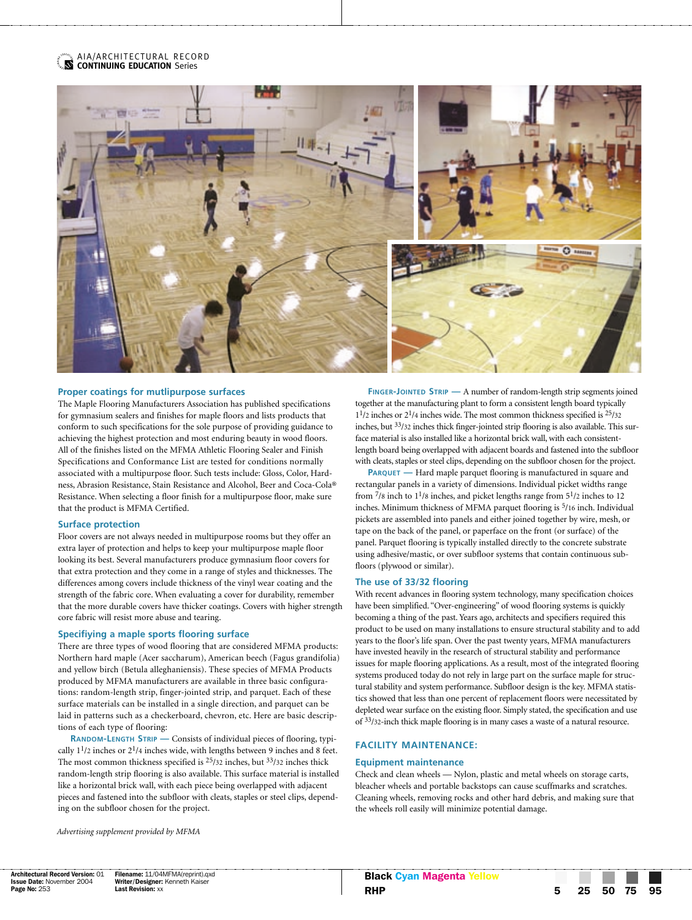# AIA/ARCHITECTURAL RECORD **CONTINUING EDUCATION** Series



# **Proper coatings for mutlipurpose surfaces**

The Maple Flooring Manufacturers Association has published specifications for gymnasium sealers and finishes for maple floors and lists products that conform to such specifications for the sole purpose of providing guidance to achieving the highest protection and most enduring beauty in wood floors. All of the finishes listed on the MFMA Athletic Flooring Sealer and Finish Specifications and Conformance List are tested for conditions normally associated with a multipurpose floor. Such tests include: Gloss, Color, Hardness, Abrasion Resistance, Stain Resistance and Alcohol, Beer and Coca-Cola® Resistance. When selecting a floor finish for a multipurpose floor, make sure that the product is MFMA Certified.

# **Surface protection**

Floor covers are not always needed in multipurpose rooms but they offer an extra layer of protection and helps to keep your multipurpose maple floor looking its best. Several manufacturers produce gymnasium floor covers for that extra protection and they come in a range of styles and thicknesses. The differences among covers include thickness of the vinyl wear coating and the strength of the fabric core. When evaluating a cover for durability, remember that the more durable covers have thicker coatings. Covers with higher strength core fabric will resist more abuse and tearing.

#### **Specifiying a maple sports flooring surface**

There are three types of wood flooring that are considered MFMA products: Northern hard maple (Acer saccharum), American beech (Fagus grandifolia) and yellow birch (Betula alleghaniensis). These species of MFMA Products produced by MFMA manufacturers are available in three basic configurations: random-length strip, finger-jointed strip, and parquet. Each of these surface materials can be installed in a single direction, and parquet can be laid in patterns such as a checkerboard, chevron, etc. Here are basic descriptions of each type of flooring:

**RANDOM-LENGTH STRIP —** Consists of individual pieces of flooring, typically  $1<sup>1</sup>/2$  inches or  $2<sup>1</sup>/4$  inches wide, with lengths between 9 inches and 8 feet. The most common thickness specified is 25/32 inches, but 33/32 inches thick random-length strip flooring is also available. This surface material is installed like a horizontal brick wall, with each piece being overlapped with adjacent pieces and fastened into the subfloor with cleats, staples or steel clips, depending on the subfloor chosen for the project.

**FINGER-JOINTED STRIP —** A number of random-length strip segments joined together at the manufacturing plant to form a consistent length board typically  $1<sup>1</sup>/2$  inches or  $2<sup>1</sup>/4$  inches wide. The most common thickness specified is  $2<sup>5</sup>/32$ inches, but 33/32 inches thick finger-jointed strip flooring is also available. This surface material is also installed like a horizontal brick wall, with each consistentlength board being overlapped with adjacent boards and fastened into the subfloor with cleats, staples or steel clips, depending on the subfloor chosen for the project.

**PARQUET** — Hard maple parquet flooring is manufactured in square and rectangular panels in a variety of dimensions. Individual picket widths range from  $\frac{7}{8}$  inch to  $1\frac{1}{8}$  inches, and picket lengths range from  $5\frac{1}{2}$  inches to 12 inches. Minimum thickness of MFMA parquet flooring is 5/16 inch. Individual pickets are assembled into panels and either joined together by wire, mesh, or tape on the back of the panel, or paperface on the front (or surface) of the panel. Parquet flooring is typically installed directly to the concrete substrate using adhesive/mastic, or over subfloor systems that contain continuous subfloors (plywood or similar).

### **The use of 33/32 flooring**

With recent advances in flooring system technology, many specification choices have been simplified. "Over-engineering" of wood flooring systems is quickly becoming a thing of the past. Years ago, architects and specifiers required this product to be used on many installations to ensure structural stability and to add years to the floor's life span. Over the past twenty years, MFMA manufacturers have invested heavily in the research of structural stability and performance issues for maple flooring applications. As a result, most of the integrated flooring systems produced today do not rely in large part on the surface maple for structural stability and system performance. Subfloor design is the key. MFMA statistics showed that less than one percent of replacement floors were necessitated by depleted wear surface on the existing floor. Simply stated, the specification and use of 33/32-inch thick maple flooring is in many cases a waste of a natural resource.

# **FACILITY MAINTENANCE:**

#### **Equipment maintenance**

Check and clean wheels — Nylon, plastic and metal wheels on storage carts, bleacher wheels and portable backstops can cause scuffmarks and scratches. Cleaning wheels, removing rocks and other hard debris, and making sure that the wheels roll easily will minimize potential damage.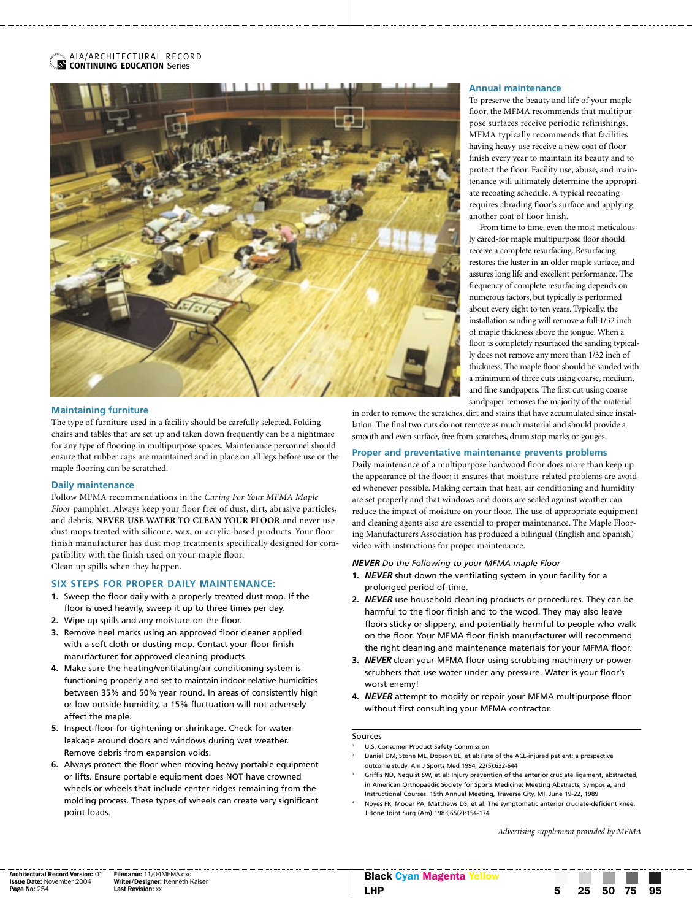# AIA/ARCHITECTURAL RECORD **CONTINUING EDUCATION** Series



# **Annual maintenance**

To preserve the beauty and life of your maple floor, the MFMA recommends that multipurpose surfaces receive periodic refinishings. MFMA typically recommends that facilities having heavy use receive a new coat of floor finish every year to maintain its beauty and to protect the floor. Facility use, abuse, and maintenance will ultimately determine the appropriate recoating schedule. A typical recoating requires abrading floor's surface and applying another coat of floor finish.

From time to time, even the most meticulously cared-for maple multipurpose floor should receive a complete resurfacing. Resurfacing restores the luster in an older maple surface, and assures long life and excellent performance. The frequency of complete resurfacing depends on numerous factors, but typically is performed about every eight to ten years. Typically, the installation sanding will remove a full 1/32 inch of maple thickness above the tongue. When a floor is completely resurfaced the sanding typically does not remove any more than 1/32 inch of thickness. The maple floor should be sanded with a minimum of three cuts using coarse, medium, and fine sandpapers. The first cut using coarse sandpaper removes the majority of the material

#### **Maintaining furniture**

The type of furniture used in a facility should be carefully selected. Folding chairs and tables that are set up and taken down frequently can be a nightmare for any type of flooring in multipurpose spaces. Maintenance personnel should ensure that rubber caps are maintained and in place on all legs before use or the maple flooring can be scratched.

#### **Daily maintenance**

Follow MFMA recommendations in the *Caring For Your MFMA Maple Floor* pamphlet. Always keep your floor free of dust, dirt, abrasive particles, and debris. **NEVER USE WATER TO CLEAN YOUR FLOOR** and never use dust mops treated with silicone, wax, or acrylic-based products. Your floor finish manufacturer has dust mop treatments specifically designed for compatibility with the finish used on your maple floor. Clean up spills when they happen.

# **SIX STEPS FOR PROPER DAILY MAINTENANCE:**

- **1.** Sweep the floor daily with a properly treated dust mop. If the floor is used heavily, sweep it up to three times per day.
- **2.** Wipe up spills and any moisture on the floor.
- **3.** Remove heel marks using an approved floor cleaner applied with a soft cloth or dusting mop. Contact your floor finish manufacturer for approved cleaning products.
- **4.** Make sure the heating/ventilating/air conditioning system is functioning properly and set to maintain indoor relative humidities between 35% and 50% year round. In areas of consistently high or low outside humidity, a 15% fluctuation will not adversely affect the maple.
- **5.** Inspect floor for tightening or shrinkage. Check for water leakage around doors and windows during wet weather. Remove debris from expansion voids.
- **6.** Always protect the floor when moving heavy portable equipment or lifts. Ensure portable equipment does NOT have crowned wheels or wheels that include center ridges remaining from the molding process. These types of wheels can create very significant point loads.

in order to remove the scratches, dirt and stains that have accumulated since installation. The final two cuts do not remove as much material and should provide a smooth and even surface, free from scratches, drum stop marks or gouges.

# **Proper and preventative maintenance prevents problems**

Daily maintenance of a multipurpose hardwood floor does more than keep up the appearance of the floor; it ensures that moisture-related problems are avoided whenever possible. Making certain that heat, air conditioning and humidity are set properly and that windows and doors are sealed against weather can reduce the impact of moisture on your floor. The use of appropriate equipment and cleaning agents also are essential to proper maintenance. The Maple Flooring Manufacturers Association has produced a bilingual (English and Spanish) video with instructions for proper maintenance.

#### *NEVER Do the Following to your MFMA maple Floor*

- **1.** *NEVER* shut down the ventilating system in your facility for a prolonged period of time.
- **2.** *NEVER* use household cleaning products or procedures. They can be harmful to the floor finish and to the wood. They may also leave floors sticky or slippery, and potentially harmful to people who walk on the floor. Your MFMA floor finish manufacturer will recommend the right cleaning and maintenance materials for your MFMA floor.
- **3.** *NEVER* clean your MFMA floor using scrubbing machinery or power scrubbers that use water under any pressure. Water is your floor's worst enemy!
- **4.** *NEVER* attempt to modify or repair your MFMA multipurpose floor without first consulting your MFMA contractor.

#### Sources

- <sup>1</sup> U.S. Consumer Product Safety Commission
- <sup>2</sup> Daniel DM, Stone ML, Dobson BE, et al: Fate of the ACL-injured patient: a prospective outcome study. Am J Sports Med 1994; 22(5):632-644
- Griffis ND, Nequist SW, et al: Injury prevention of the anterior cruciate ligament, abstracted, in American Orthopaedic Society for Sports Medicine: Meeting Abstracts, Symposia, and Instructional Courses. 15th Annual Meeting, Traverse City, MI, June 19-22, 1989
- Noyes FR, Mooar PA, Matthews DS, et al: The symptomatic anterior cruciate-deficient knee. J Bone Joint Surg (Am) 1983;65(2):154-174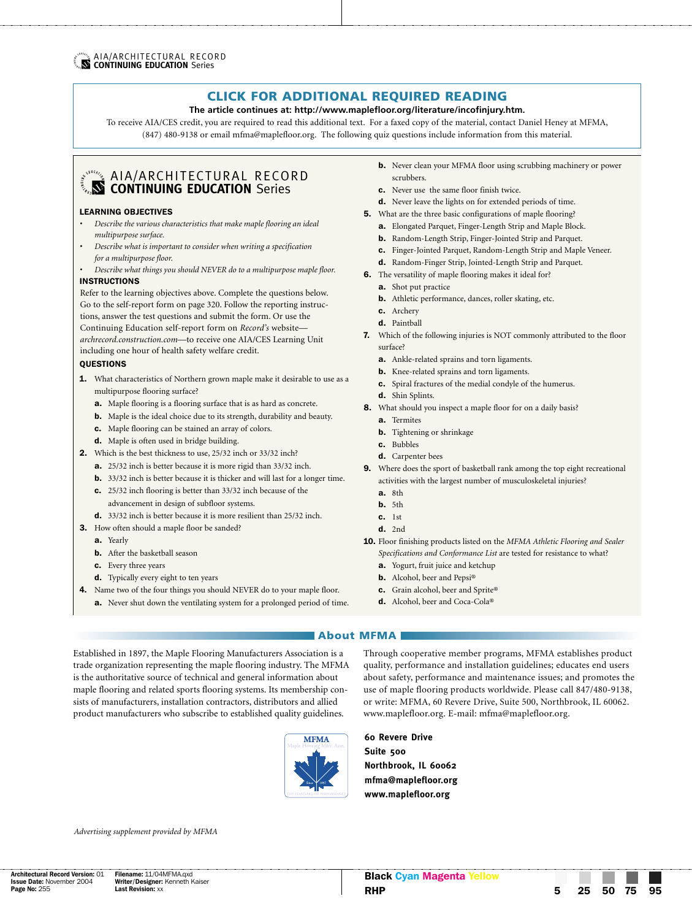# **CLICK FOR ADDITIONAL REQUIRED READING**

**The article continues at: http://www.maplefloor.org/literature/incofinjury.htm.** 

To receive AIA/CES credit, you are required to read this additional text. For a faxed copy of the material, contact Daniel Heney at MFMA, (847) 480-9138 or email mfma@maplefloor.org. The following quiz questions include information from this material.

# AIA/ARCHITECTURAL RECORD **CONTINUING EDUCATION** Series

# LEARNING OBJECTIVES

- *• Describe the various characteristics that make maple flooring an ideal multipurpose surface.*
- *• Describe what is important to consider when writing a specification for a multipurpose floor.*
- *• Describe what things you should NEVER do to a multipurpose maple floor.* **INSTRUCTIONS**

Refer to the learning objectives above. Complete the questions below. Go to the self-report form on page 320. Follow the reporting instructions, answer the test questions and submit the form. Or use the Continuing Education self-report form on *Record's* website *archrecord.construction.com*—to receive one AIA/CES Learning Unit including one hour of health safety welfare credit.

# QUESTIONS

- 1. What characteristics of Northern grown maple make it desirable to use as a multipurpose flooring surface?
	- a. Maple flooring is a flooring surface that is as hard as concrete.
	- b. Maple is the ideal choice due to its strength, durability and beauty.
	- c. Maple flooring can be stained an array of colors.
	- d. Maple is often used in bridge building.
- 2. Which is the best thickness to use, 25/32 inch or 33/32 inch?
	- a. 25/32 inch is better because it is more rigid than 33/32 inch.
	- b. 33/32 inch is better because it is thicker and will last for a longer time.
	- c. 25/32 inch flooring is better than 33/32 inch because of the advancement in design of subfloor systems.
	- d. 33/32 inch is better because it is more resilient than 25/32 inch.
- 3. How often should a maple floor be sanded?
	- a. Yearly
	- **b.** After the basketball season
	- c. Every three years
	- d. Typically every eight to ten years
- 4. Name two of the four things you should NEVER do to your maple floor.
	- a. Never shut down the ventilating system for a prolonged period of time.
- b. Never clean your MFMA floor using scrubbing machinery or power scrubbers.
- c. Never use the same floor finish twice.
- d. Never leave the lights on for extended periods of time.
- 5. What are the three basic configurations of maple flooring?
	- a. Elongated Parquet, Finger-Length Strip and Maple Block.
	- b. Random-Length Strip, Finger-Jointed Strip and Parquet.
	- c. Finger-Jointed Parquet, Random-Length Strip and Maple Veneer.
	- d. Random-Finger Strip, Jointed-Length Strip and Parquet.
- 6. The versatility of maple flooring makes it ideal for?
	- a. Shot put practice
	- b. Athletic performance, dances, roller skating, etc.
	- c. Archery
	- d. Paintball
- 7. Which of the following injuries is NOT commonly attributed to the floor surface?
	- a. Ankle-related sprains and torn ligaments.
	- **b.** Knee-related sprains and torn ligaments.
	- c. Spiral fractures of the medial condyle of the humerus.
	- d. Shin Splints.
- 8. What should you inspect a maple floor for on a daily basis?
	- a. Termites
	- **b.** Tightening or shrinkage
	- c. Bubbles
	- d. Carpenter bees
- 9. Where does the sport of basketball rank among the top eight recreational activities with the largest number of musculoskeletal injuries?
	- a. 8th
	- $b. 5<sup>th</sup>$
	- c. 1st
	- $d. 2nd$
- 10. Floor finishing products listed on the *MFMA Athletic Flooring and Sealer Specifications and Conformance List* are tested for resistance to what?
	- a. Yogurt, fruit juice and ketchup
	- **b.** Alcohol, beer and Pepsi®
	- c. Grain alcohol, beer and Sprite®
	- d. Alcohol, beer and Coca-Cola®

# **About MFMA**

Established in 1897, the Maple Flooring Manufacturers Association is a trade organization representing the maple flooring industry. The MFMA is the authoritative source of technical and general information about maple flooring and related sports flooring systems. Its membership consists of manufacturers, installation contractors, distributors and allied product manufacturers who subscribe to established quality guidelines.



Through cooperative member programs, MFMA establishes product quality, performance and installation guidelines; educates end users about safety, performance and maintenance issues; and promotes the use of maple flooring products worldwide. Please call 847/480-9138, or write: MFMA, 60 Revere Drive, Suite 500, Northbrook, IL 60062. www.maplefloor.org. E-mail: mfma@maplefloor.org.

**60 Revere Drive Suite 500 Northbrook, IL 60062 mfma@maplefloor.org www.maplefloor.org**